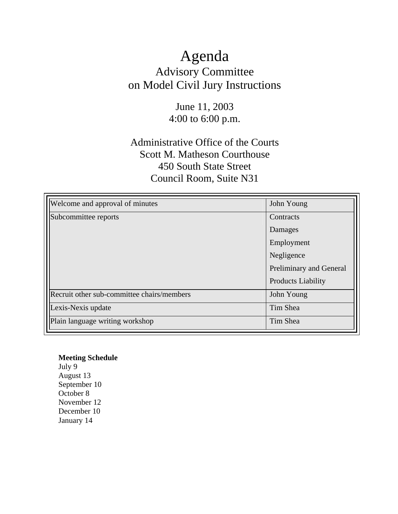# Agenda Advisory Committee on Model Civil Jury Instructions

# June 11, 2003 4:00 to 6:00 p.m.

# Administrative Office of the Courts Scott M. Matheson Courthouse 450 South State Street Council Room, Suite N31

| Welcome and approval of minutes            | John Young                |
|--------------------------------------------|---------------------------|
| Subcommittee reports                       | Contracts                 |
|                                            | Damages                   |
|                                            | Employment                |
|                                            | Negligence                |
|                                            | Preliminary and General   |
|                                            | <b>Products Liability</b> |
| Recruit other sub-committee chairs/members | John Young                |
| Lexis-Nexis update                         | Tim Shea                  |
| Plain language writing workshop            | Tim Shea                  |

### **Meeting Schedule**  July 9 August 13 September 10 October 8 November 12

December 10 January 14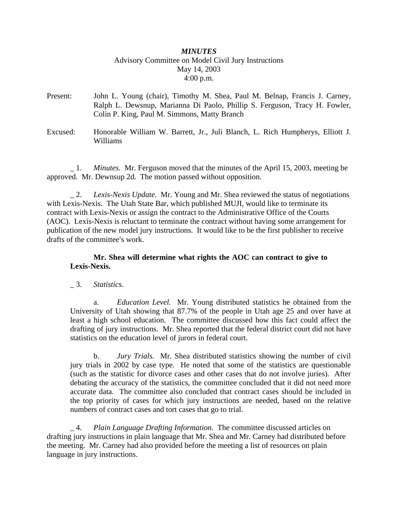### *MINUTES* Advisory Committee on Model Civil Jury Instructions May 14, 2003 4:00 p.m.

- Present: John L. Young (chair), Timothy M. Shea, Paul M. Belnap, Francis J. Carney, Ralph L. Dewsnup, Marianna Di Paolo, Phillip S. Ferguson, Tracy H. Fowler, Colin P. King, Paul M. Simmons, Matty Branch
- Excused: Honorable William W. Barrett, Jr., Juli Blanch, L. Rich Humpherys, Elliott J. Williams

\_ 1. *Minutes.* Mr. Ferguson moved that the minutes of the April 15, 2003, meeting be approved. Mr. Dewnsup 2d. The motion passed without opposition.

\_ 2. *Lexis-Nexis Update.* Mr. Young and Mr. Shea reviewed the status of negotiations with Lexis-Nexis. The Utah State Bar, which published MUJI, would like to terminate its contract with Lexis-Nexis or assign the contract to the Administrative Office of the Courts (AOC). Lexis-Nexis is reluctant to terminate the contract without having some arrangement for publication of the new model jury instructions. It would like to be the first publisher to receive drafts of the committee's work.

#### **Mr. Shea will determine what rights the AOC can contract to give to Lexis-Nexis.**

#### \_ 3. *Statistics.*

a. *Education Level.* Mr. Young distributed statistics he obtained from the University of Utah showing that 87.7% of the people in Utah age 25 and over have at least a high school education. The committee discussed how this fact could affect the drafting of jury instructions. Mr. Shea reported that the federal district court did not have statistics on the education level of jurors in federal court.

b. *Jury Trials.* Mr. Shea distributed statistics showing the number of civil jury trials in 2002 by case type. He noted that some of the statistics are questionable (such as the statistic for divorce cases and other cases that do not involve juries). After debating the accuracy of the statistics, the committee concluded that it did not need more accurate data. The committee also concluded that contract cases should be included in the top priority of cases for which jury instructions are needed, based on the relative numbers of contract cases and tort cases that go to trial.

\_ 4. *Plain Language Drafting Information.* The committee discussed articles on drafting jury instructions in plain language that Mr. Shea and Mr. Carney had distributed before the meeting. Mr. Carney had also provided before the meeting a list of resources on plain language in jury instructions.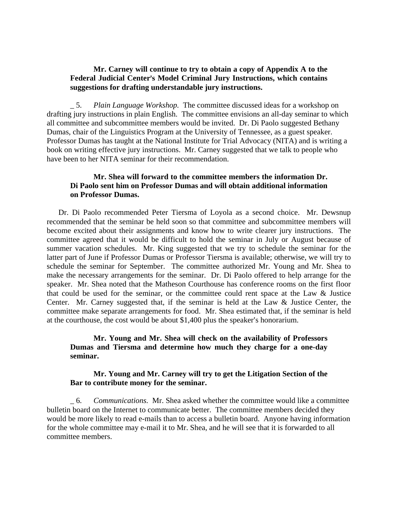#### **Mr. Carney will continue to try to obtain a copy of Appendix A to the**  Federal Judicial Center's Model Criminal Jury Instructions, which contains **suggestions for drafting understandable jury instructions.**

\_ 5. *Plain Language Workshop.* The committee discussed ideas for a workshop on drafting jury instructions in plain English. The committee envisions an all-day seminar to which all committee and subcommittee members would be invited. Dr. Di Paolo suggested Bethany Dumas, chair of the Linguistics Program at the University of Tennessee, as a guest speaker. Professor Dumas has taught at the National Institute for Trial Advocacy (NITA) and is writing a book on writing effective jury instructions. Mr. Carney suggested that we talk to people who have been to her NITA seminar for their recommendation.

#### **Mr. Shea will forward to the committee members the information Dr. Di Paolo sent him on Professor Dumas and will obtain additional information on Professor Dumas.**

Dr. Di Paolo recommended Peter Tiersma of Loyola as a second choice. Mr. Dewsnup recommended that the seminar be held soon so that committee and subcommittee members will become excited about their assignments and know how to write clearer jury instructions. The committee agreed that it would be difficult to hold the seminar in July or August because of summer vacation schedules. Mr. King suggested that we try to schedule the seminar for the latter part of June if Professor Dumas or Professor Tiersma is available; otherwise, we will try to schedule the seminar for September. The committee authorized Mr. Young and Mr. Shea to make the necessary arrangements for the seminar. Dr. Di Paolo offered to help arrange for the speaker. Mr. Shea noted that the Matheson Courthouse has conference rooms on the first floor that could be used for the seminar, or the committee could rent space at the Law & Justice Center. Mr. Carney suggested that, if the seminar is held at the Law & Justice Center, the committee make separate arrangements for food. Mr. Shea estimated that, if the seminar is held at the courthouse, the cost would be about  $$1,400$  plus the speaker's honorarium.

#### **Mr. Young and Mr. Shea will check on the availability of Professors Dumas and Tiersma and determine how much they charge for a one-day seminar.**

#### **Mr. Young and Mr. Carney will try to get the Litigation Section of the Bar to contribute money for the seminar.**

\_ 6. *Communications.* Mr. Shea asked whether the committee would like a committee bulletin board on the Internet to communicate better. The committee members decided they would be more likely to read e-mails than to access a bulletin board. Anyone having information for the whole committee may e-mail it to Mr. Shea, and he will see that it is forwarded to all committee members.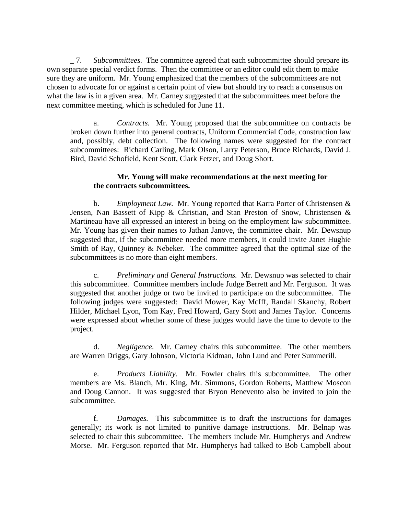\_ 7. *Subcommittees.* The committee agreed that each subcommittee should prepare its own separate special verdict forms. Then the committee or an editor could edit them to make sure they are uniform. Mr. Young emphasized that the members of the subcommittees are not chosen to advocate for or against a certain point of view but should try to reach a consensus on what the law is in a given area. Mr. Carney suggested that the subcommittees meet before the next committee meeting, which is scheduled for June 11.

a. *Contracts.* Mr. Young proposed that the subcommittee on contracts be broken down further into general contracts, Uniform Commercial Code, construction law and, possibly, debt collection. The following names were suggested for the contract subcommittees: Richard Carling, Mark Olson, Larry Peterson, Bruce Richards, David J. Bird, David Schofield, Kent Scott, Clark Fetzer, and Doug Short.

#### **Mr. Young will make recommendations at the next meeting for the contracts subcommittees.**

b. *Employment Law.* Mr. Young reported that Karra Porter of Christensen & Jensen, Nan Bassett of Kipp & Christian, and Stan Preston of Snow, Christensen & Martineau have all expressed an interest in being on the employment law subcommittee. Mr. Young has given their names to Jathan Janove, the committee chair. Mr. Dewsnup suggested that, if the subcommittee needed more members, it could invite Janet Hughie Smith of Ray, Quinney & Nebeker. The committee agreed that the optimal size of the subcommittees is no more than eight members.

c. *Preliminary and General Instructions.* Mr. Dewsnup was selected to chair this subcommittee. Committee members include Judge Berrett and Mr. Ferguson. It was suggested that another judge or two be invited to participate on the subcommittee. The following judges were suggested: David Mower, Kay McIff, Randall Skanchy, Robert Hilder, Michael Lyon, Tom Kay, Fred Howard, Gary Stott and James Taylor. Concerns were expressed about whether some of these judges would have the time to devote to the project.

d. *Negligence.* Mr. Carney chairs this subcommittee. The other members are Warren Driggs, Gary Johnson, Victoria Kidman, John Lund and Peter Summerill.

e. *Products Liability.* Mr. Fowler chairs this subcommittee. The other members are Ms. Blanch, Mr. King, Mr. Simmons, Gordon Roberts, Matthew Moscon and Doug Cannon. It was suggested that Bryon Benevento also be invited to join the subcommittee.

f. *Damages.* This subcommittee is to draft the instructions for damages generally; its work is not limited to punitive damage instructions. Mr. Belnap was selected to chair this subcommittee. The members include Mr. Humpherys and Andrew Morse. Mr. Ferguson reported that Mr. Humpherys had talked to Bob Campbell about